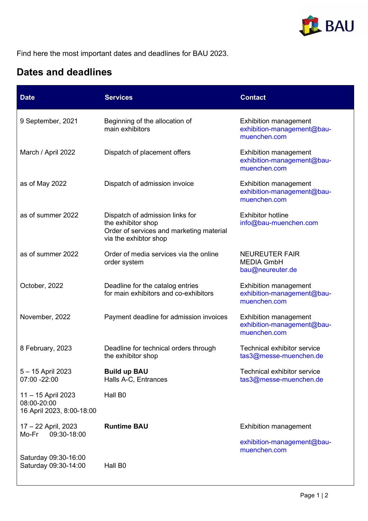

Find here the most important dates and deadlines for BAU 2023.

## Dates and deadlines

| <b>Date</b>                                                    | <b>Services</b>                                                                                                            | <b>Contact</b>                                                             |
|----------------------------------------------------------------|----------------------------------------------------------------------------------------------------------------------------|----------------------------------------------------------------------------|
| 9 September, 2021                                              | Beginning of the allocation of<br>main exhibitors                                                                          | <b>Exhibition management</b><br>exhibition-management@bau-<br>muenchen.com |
| March / April 2022                                             | Dispatch of placement offers                                                                                               | <b>Exhibition management</b><br>exhibition-management@bau-<br>muenchen.com |
| as of May 2022                                                 | Dispatch of admission invoice                                                                                              | <b>Exhibition management</b><br>exhibition-management@bau-<br>muenchen.com |
| as of summer 2022                                              | Dispatch of admission links for<br>the exhibitor shop<br>Order of services and marketing material<br>via the exhibtor shop | <b>Exhibitor hotline</b><br>info@bau-muenchen.com                          |
| as of summer 2022                                              | Order of media services via the online<br>order system                                                                     | <b>NEUREUTER FAIR</b><br><b>MEDIA GmbH</b><br>bau@neureuter.de             |
| October, 2022                                                  | Deadline for the catalog entries<br>for main exhibitors and co-exhibitors                                                  | <b>Exhibition management</b><br>exhibition-management@bau-<br>muenchen.com |
| November, 2022                                                 | Payment deadline for admission invoices                                                                                    | <b>Exhibition management</b><br>exhibition-management@bau-<br>muenchen.com |
| 8 February, 2023                                               | Deadline for technical orders through<br>the exhibitor shop                                                                | <b>Technical exhibitor service</b><br>tas3@messe-muenchen.de               |
| 5 - 15 April 2023<br>07:00 -22:00                              | <b>Build up BAU</b><br>Halls A-C, Entrances                                                                                | <b>Technical exhibitor service</b><br>tas3@messe-muenchen.de               |
| 11 - 15 April 2023<br>08:00-20:00<br>16 April 2023, 8:00-18:00 | Hall B0                                                                                                                    |                                                                            |
| 17 - 22 April, 2023<br>09:30-18:00<br>Mo-Fr                    | <b>Runtime BAU</b>                                                                                                         | <b>Exhibition management</b>                                               |
|                                                                |                                                                                                                            | exhibition-management@bau-<br>muenchen.com                                 |
| Saturday 09:30-16:00<br>Saturday 09:30-14:00                   | Hall B0                                                                                                                    |                                                                            |